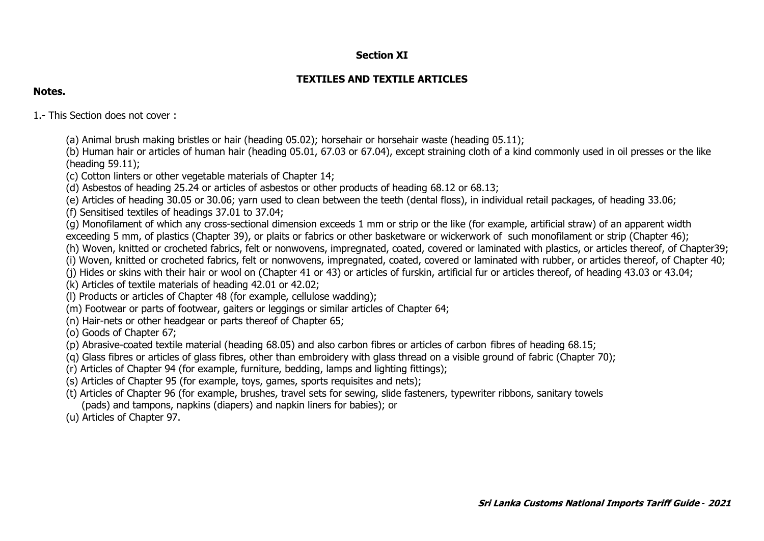## **Section XI**

# **TEXTILES AND TEXTILE ARTICLES**

#### **Notes.**

1.- This Section does not cover :

- (a) Animal brush making bristles or hair (heading 05.02); horsehair or horsehair waste (heading 05.11);
- (b) Human hair or articles of human hair (heading 05.01, 67.03 or 67.04), except straining cloth of a kind commonly used in oil presses or the like (heading 59.11);
- (c) Cotton linters or other vegetable materials of Chapter 14;
- (d) Asbestos of heading 25.24 or articles of asbestos or other products of heading 68.12 or 68.13;
- (e) Articles of heading 30.05 or 30.06; yarn used to clean between the teeth (dental floss), in individual retail packages, of heading 33.06;
- (f) Sensitised textiles of headings 37.01 to 37.04;
- (g) Monofilament of which any cross-sectional dimension exceeds 1 mm or strip or the like (for example, artificial straw) of an apparent width exceeding 5 mm, of plastics (Chapter 39), or plaits or fabrics or other basketware or wickerwork of such monofilament or strip (Chapter 46);
- (h) Woven, knitted or crocheted fabrics, felt or nonwovens, impregnated, coated, covered or laminated with plastics, or articles thereof, of Chapter39;
- (i) Woven, knitted or crocheted fabrics, felt or nonwovens, impregnated, coated, covered or laminated with rubber, or articles thereof, of Chapter 40;
- (j) Hides or skins with their hair or wool on (Chapter 41 or 43) or articles of furskin, artificial fur or articles thereof, of heading 43.03 or 43.04;
- (k) Articles of textile materials of heading 42.01 or 42.02;
- (l) Products or articles of Chapter 48 (for example, cellulose wadding);
- (m) Footwear or parts of footwear, gaiters or leggings or similar articles of Chapter 64;
- (n) Hair-nets or other headgear or parts thereof of Chapter 65;
- (o) Goods of Chapter 67;
- (p) Abrasive-coated textile material (heading 68.05) and also carbon fibres or articles of carbon fibres of heading 68.15;
- (q) Glass fibres or articles of glass fibres, other than embroidery with glass thread on a visible ground of fabric (Chapter 70);
- (r) Articles of Chapter 94 (for example, furniture, bedding, lamps and lighting fittings);
- (s) Articles of Chapter 95 (for example, toys, games, sports requisites and nets);
- (t) Articles of Chapter 96 (for example, brushes, travel sets for sewing, slide fasteners, typewriter ribbons, sanitary towels (pads) and tampons, napkins (diapers) and napkin liners for babies); or
- (u) Articles of Chapter 97.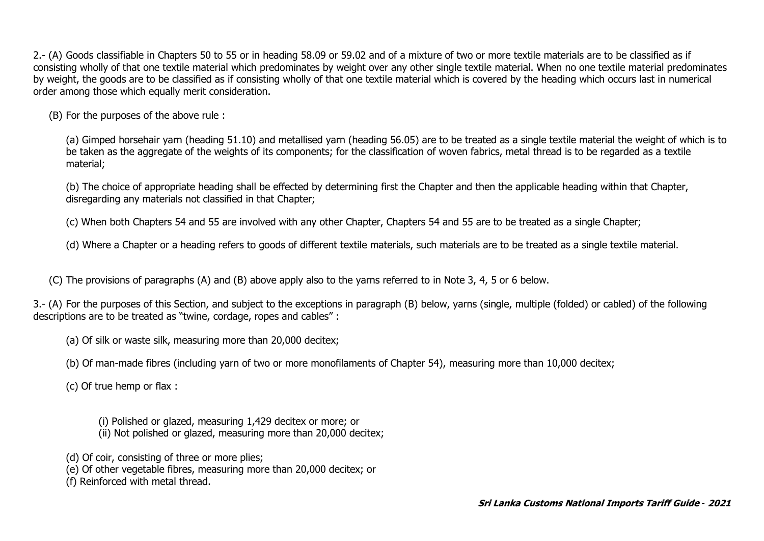2.- (A) Goods classifiable in Chapters 50 to 55 or in heading 58.09 or 59.02 and of a mixture of two or more textile materials are to be classified as if consisting wholly of that one textile material which predominates by weight over any other single textile material. When no one textile material predominates by weight, the goods are to be classified as if consisting wholly of that one textile material which is covered by the heading which occurs last in numerical order among those which equally merit consideration.

(B) For the purposes of the above rule :

(a) Gimped horsehair yarn (heading 51.10) and metallised yarn (heading 56.05) are to be treated as a single textile material the weight of which is to be taken as the aggregate of the weights of its components; for the classification of woven fabrics, metal thread is to be regarded as a textile material;

(b) The choice of appropriate heading shall be effected by determining first the Chapter and then the applicable heading within that Chapter, disregarding any materials not classified in that Chapter;

(c) When both Chapters 54 and 55 are involved with any other Chapter, Chapters 54 and 55 are to be treated as a single Chapter;

(d) Where a Chapter or a heading refers to goods of different textile materials, such materials are to be treated as a single textile material.

(C) The provisions of paragraphs (A) and (B) above apply also to the yarns referred to in Note 3, 4, 5 or 6 below.

3.- (A) For the purposes of this Section, and subject to the exceptions in paragraph (B) below, yarns (single, multiple (folded) or cabled) of the following descriptions are to be treated as "twine, cordage, ropes and cables" :

(a) Of silk or waste silk, measuring more than 20,000 decitex;

(b) Of man-made fibres (including yarn of two or more monofilaments of Chapter 54), measuring more than 10,000 decitex;

(c) Of true hemp or flax :

(i) Polished or glazed, measuring 1,429 decitex or more; or (ii) Not polished or glazed, measuring more than 20,000 decitex;

(d) Of coir, consisting of three or more plies;

(e) Of other vegetable fibres, measuring more than 20,000 decitex; or

(f) Reinforced with metal thread.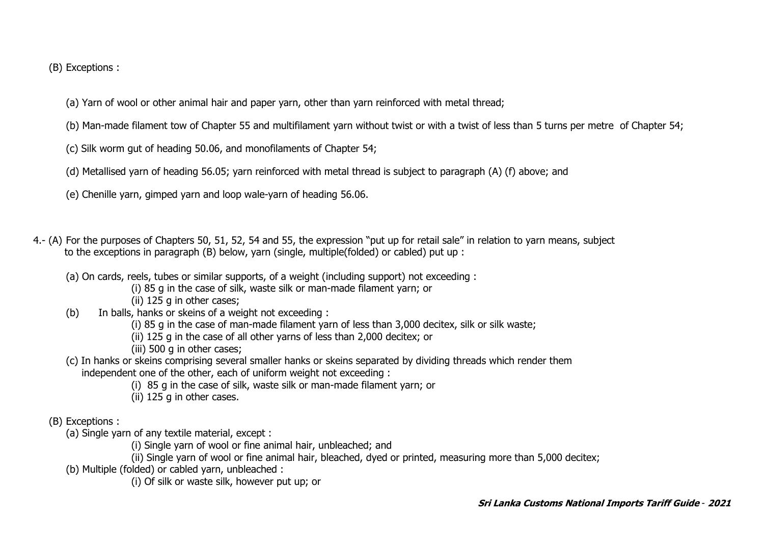(B) Exceptions :

- (a) Yarn of wool or other animal hair and paper yarn, other than yarn reinforced with metal thread;
- (b) Man-made filament tow of Chapter 55 and multifilament yarn without twist or with a twist of less than 5 turns per metre of Chapter 54;
- (c) Silk worm gut of heading 50.06, and monofilaments of Chapter 54;
- (d) Metallised yarn of heading 56.05; yarn reinforced with metal thread is subject to paragraph (A) (f) above; and
- (e) Chenille yarn, gimped yarn and loop wale-yarn of heading 56.06.
- 4.- (A) For the purposes of Chapters 50, 51, 52, 54 and 55, the expression "put up for retail sale" in relation to yarn means, subject to the exceptions in paragraph (B) below, yarn (single, multiple(folded) or cabled) put up :
	- (a) On cards, reels, tubes or similar supports, of a weight (including support) not exceeding :
		- (i) 85 g in the case of silk, waste silk or man-made filament yarn; or
		- (ii) 125 g in other cases;
	- (b) In balls, hanks or skeins of a weight not exceeding :
		- (i) 85 g in the case of man-made filament yarn of less than 3,000 decitex, silk or silk waste;
		- (ii) 125 g in the case of all other yarns of less than 2,000 decitex; or
		- (iii) 500 g in other cases;
	- (c) In hanks or skeins comprising several smaller hanks or skeins separated by dividing threads which render them independent one of the other, each of uniform weight not exceeding :
		- (i) 85 g in the case of silk, waste silk or man-made filament yarn; or
		- (ii) 125 g in other cases.
	- (B) Exceptions :
		- (a) Single yarn of any textile material, except :
			- (i) Single yarn of wool or fine animal hair, unbleached; and
			- (ii) Single yarn of wool or fine animal hair, bleached, dyed or printed, measuring more than 5,000 decitex;
		- (b) Multiple (folded) or cabled yarn, unbleached :
			- (i) Of silk or waste silk, however put up; or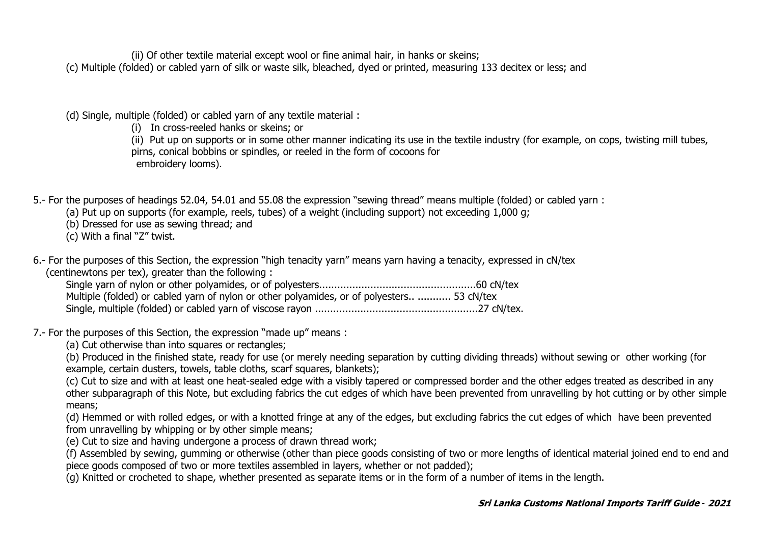(ii) Of other textile material except wool or fine animal hair, in hanks or skeins;

(c) Multiple (folded) or cabled yarn of silk or waste silk, bleached, dyed or printed, measuring 133 decitex or less; and

- (d) Single, multiple (folded) or cabled yarn of any textile material :
	- (i) In cross-reeled hanks or skeins; or

(ii) Put up on supports or in some other manner indicating its use in the textile industry (for example, on cops, twisting mill tubes, pirns, conical bobbins or spindles, or reeled in the form of cocoons for embroidery looms).

5.- For the purposes of headings 52.04, 54.01 and 55.08 the expression "sewing thread" means multiple (folded) or cabled yarn :

(a) Put up on supports (for example, reels, tubes) of a weight (including support) not exceeding 1,000 g;

(b) Dressed for use as sewing thread; and

(c) With a final "Z" twist.

6.- For the purposes of this Section, the expression "high tenacity yarn" means yarn having a tenacity, expressed in cN/tex (centinewtons per tex), greater than the following :

| Multiple (folded) or cabled yarn of nylon or other polyamides, or of polyesters  53 cN/tex |  |
|--------------------------------------------------------------------------------------------|--|
|                                                                                            |  |

- 7.- For the purposes of this Section, the expression "made up" means :
	- (a) Cut otherwise than into squares or rectangles;

(b) Produced in the finished state, ready for use (or merely needing separation by cutting dividing threads) without sewing or other working (for example, certain dusters, towels, table cloths, scarf squares, blankets);

(c) Cut to size and with at least one heat-sealed edge with a visibly tapered or compressed border and the other edges treated as described in any other subparagraph of this Note, but excluding fabrics the cut edges of which have been prevented from unravelling by hot cutting or by other simple means;

(d) Hemmed or with rolled edges, or with a knotted fringe at any of the edges, but excluding fabrics the cut edges of which have been prevented from unravelling by whipping or by other simple means;

(e) Cut to size and having undergone a process of drawn thread work;

(f) Assembled by sewing, gumming or otherwise (other than piece goods consisting of two or more lengths of identical material joined end to end and piece goods composed of two or more textiles assembled in layers, whether or not padded);

(g) Knitted or crocheted to shape, whether presented as separate items or in the form of a number of items in the length.

## **Sri Lanka Customs National Imports Tariff Guide** - **2021**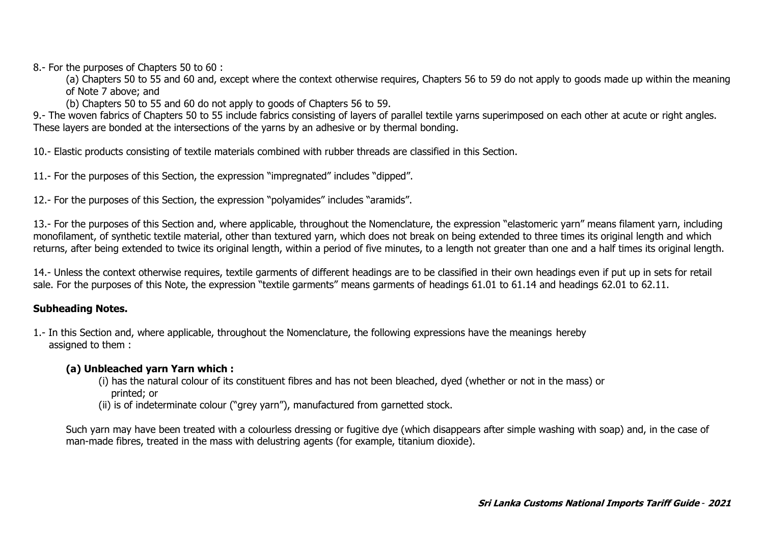8.- For the purposes of Chapters 50 to 60 :

(a) Chapters 50 to 55 and 60 and, except where the context otherwise requires, Chapters 56 to 59 do not apply to goods made up within the meaning of Note 7 above; and

(b) Chapters 50 to 55 and 60 do not apply to goods of Chapters 56 to 59.

9.- The woven fabrics of Chapters 50 to 55 include fabrics consisting of layers of parallel textile yarns superimposed on each other at acute or right angles. These layers are bonded at the intersections of the yarns by an adhesive or by thermal bonding.

10.- Elastic products consisting of textile materials combined with rubber threads are classified in this Section.

11.- For the purposes of this Section, the expression "impregnated" includes "dipped".

12.- For the purposes of this Section, the expression "polyamides" includes "aramids".

13.- For the purposes of this Section and, where applicable, throughout the Nomenclature, the expression "elastomeric yarn" means filament yarn, including monofilament, of synthetic textile material, other than textured yarn, which does not break on being extended to three times its original length and which returns, after being extended to twice its original length, within a period of five minutes, to a length not greater than one and a half times its original length.

14.- Unless the context otherwise requires, textile garments of different headings are to be classified in their own headings even if put up in sets for retail sale. For the purposes of this Note, the expression "textile garments" means garments of headings 61.01 to 61.14 and headings 62.01 to 62.11.

## **Subheading Notes.**

1.- In this Section and, where applicable, throughout the Nomenclature, the following expressions have the meanings hereby assigned to them :

## **(a) Unbleached yarn Yarn which :**

- (i) has the natural colour of its constituent fibres and has not been bleached, dyed (whether or not in the mass) or printed; or
- (ii) is of indeterminate colour ("grey yarn"), manufactured from garnetted stock.

Such yarn may have been treated with a colourless dressing or fugitive dye (which disappears after simple washing with soap) and, in the case of man-made fibres, treated in the mass with delustring agents (for example, titanium dioxide).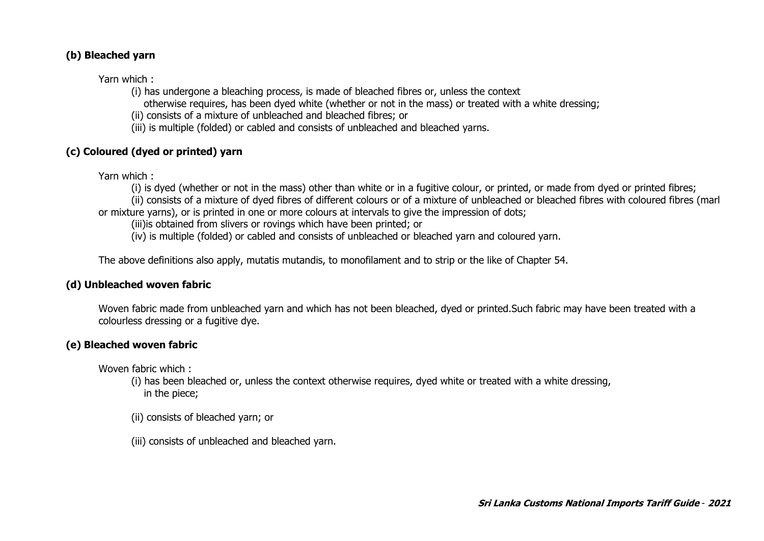#### **(b) Bleached yarn**

Yarn which :

- (i) has undergone a bleaching process, is made of bleached fibres or, unless the context
	- otherwise requires, has been dyed white (whether or not in the mass) or treated with a white dressing;
- (ii) consists of a mixture of unbleached and bleached fibres; or
- (iii) is multiple (folded) or cabled and consists of unbleached and bleached yarns.

## **(c) Coloured (dyed or printed) yarn**

Yarn which :

(i) is dyed (whether or not in the mass) other than white or in a fugitive colour, or printed, or made from dyed or printed fibres;

(ii) consists of a mixture of dyed fibres of different colours or of a mixture of unbleached or bleached fibres with coloured fibres (marl or mixture yarns), or is printed in one or more colours at intervals to give the impression of dots;

(iii)is obtained from slivers or rovings which have been printed; or

(iv) is multiple (folded) or cabled and consists of unbleached or bleached yarn and coloured yarn.

The above definitions also apply, mutatis mutandis, to monofilament and to strip or the like of Chapter 54.

#### **(d) Unbleached woven fabric**

Woven fabric made from unbleached yarn and which has not been bleached, dyed or printed.Such fabric may have been treated with a colourless dressing or a fugitive dye.

## **(e) Bleached woven fabric**

Woven fabric which :

(i) has been bleached or, unless the context otherwise requires, dyed white or treated with a white dressing, in the piece;

- (ii) consists of bleached yarn; or
- (iii) consists of unbleached and bleached yarn.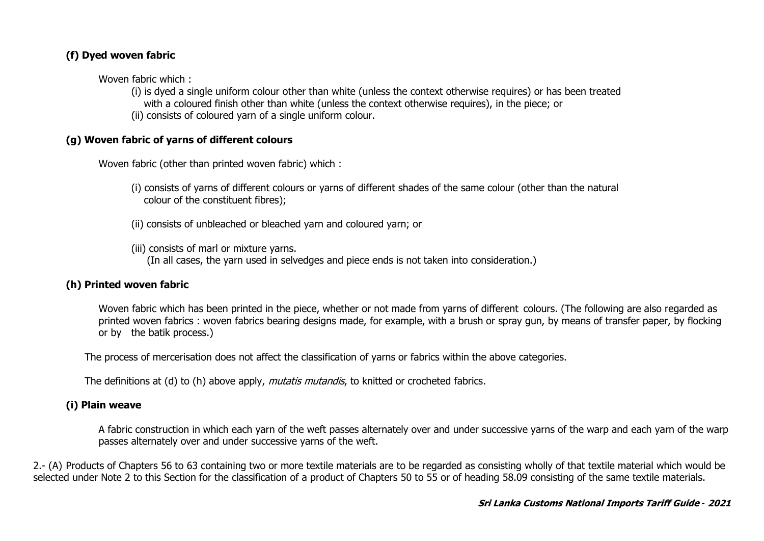## **(f) Dyed woven fabric**

Woven fabric which :

(i) is dyed a single uniform colour other than white (unless the context otherwise requires) or has been treated with a coloured finish other than white (unless the context otherwise requires), in the piece; or (ii) consists of coloured yarn of a single uniform colour.

## **(g) Woven fabric of yarns of different colours**

Woven fabric (other than printed woven fabric) which :

- (i) consists of yarns of different colours or yarns of different shades of the same colour (other than the natural colour of the constituent fibres);
- (ii) consists of unbleached or bleached yarn and coloured yarn; or

(iii) consists of marl or mixture yarns. (In all cases, the yarn used in selvedges and piece ends is not taken into consideration.)

## **(h) Printed woven fabric**

Woven fabric which has been printed in the piece, whether or not made from yarns of different colours. (The following are also regarded as printed woven fabrics : woven fabrics bearing designs made, for example, with a brush or spray gun, by means of transfer paper, by flocking or by the batik process.)

The process of mercerisation does not affect the classification of yarns or fabrics within the above categories.

The definitions at (d) to (h) above apply, *mutatis mutandis*, to knitted or crocheted fabrics.

## **(i) Plain weave**

A fabric construction in which each yarn of the weft passes alternately over and under successive yarns of the warp and each yarn of the warp passes alternately over and under successive yarns of the weft.

2.- (A) Products of Chapters 56 to 63 containing two or more textile materials are to be regarded as consisting wholly of that textile material which would be selected under Note 2 to this Section for the classification of a product of Chapters 50 to 55 or of heading 58.09 consisting of the same textile materials.